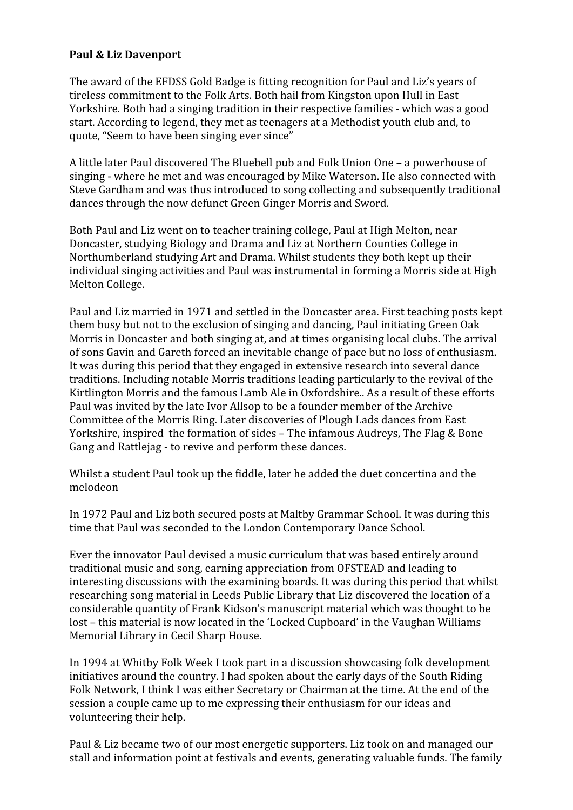## **Paul & Liz Davenport**

The award of the EFDSS Gold Badge is fitting recognition for Paul and Liz's years of tireless commitment to the Folk Arts. Both hail from Kingston upon Hull in East Yorkshire. Both had a singing tradition in their respective families - which was a good start. According to legend, they met as teenagers at a Methodist youth club and, to quote, "Seem to have been singing ever since"

A little later Paul discovered The Bluebell pub and Folk Union One – a powerhouse of singing - where he met and was encouraged by Mike Waterson. He also connected with Steve Gardham and was thus introduced to song collecting and subsequently traditional dances through the now defunct Green Ginger Morris and Sword.

Both Paul and Liz went on to teacher training college, Paul at High Melton, near Doncaster, studying Biology and Drama and Liz at Northern Counties College in Northumberland studying Art and Drama. Whilst students they both kept up their individual singing activities and Paul was instrumental in forming a Morris side at High Melton College.

Paul and Liz married in 1971 and settled in the Doncaster area. First teaching posts kept them busy but not to the exclusion of singing and dancing, Paul initiating Green Oak Morris in Doncaster and both singing at, and at times organising local clubs. The arrival of sons Gavin and Gareth forced an inevitable change of pace but no loss of enthusiasm. It was during this period that they engaged in extensive research into several dance traditions. Including notable Morris traditions leading particularly to the revival of the Kirtlington Morris and the famous Lamb Ale in Oxfordshire.. As a result of these efforts Paul was invited by the late Ivor Allsop to be a founder member of the Archive Committee of the Morris Ring. Later discoveries of Plough Lads dances from East Yorkshire, inspired the formation of sides – The infamous Audreys, The Flag & Bone Gang and Rattlejag - to revive and perform these dances.

Whilst a student Paul took up the fiddle, later he added the duet concertina and the melodeon

In 1972 Paul and Liz both secured posts at Maltby Grammar School. It was during this time that Paul was seconded to the London Contemporary Dance School.

Ever the innovator Paul devised a music curriculum that was based entirely around traditional music and song, earning appreciation from OFSTEAD and leading to interesting discussions with the examining boards. It was during this period that whilst researching song material in Leeds Public Library that Liz discovered the location of a considerable quantity of Frank Kidson's manuscript material which was thought to be lost – this material is now located in the 'Locked Cupboard' in the Vaughan Williams Memorial Library in Cecil Sharp House.

In 1994 at Whitby Folk Week I took part in a discussion showcasing folk development initiatives around the country. I had spoken about the early days of the South Riding Folk Network, I think I was either Secretary or Chairman at the time. At the end of the session a couple came up to me expressing their enthusiasm for our ideas and volunteering their help.

Paul & Liz became two of our most energetic supporters. Liz took on and managed our stall and information point at festivals and events, generating valuable funds. The family